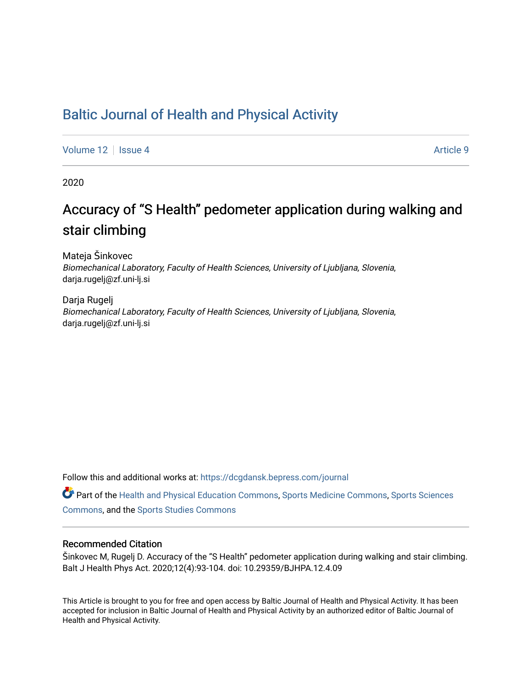## [Baltic Journal of Health and Physical Activity](https://dcgdansk.bepress.com/journal)

[Volume 12](https://dcgdansk.bepress.com/journal/vol12) | [Issue 4](https://dcgdansk.bepress.com/journal/vol12/iss4) Article 9

2020

# Accuracy of "S Health" pedometer application during walking and stair climbing

Mateja Šinkovec Biomechanical Laboratory, Faculty of Health Sciences, University of Ljubljana, Slovenia, darja.rugelj@zf.uni-lj.si

Darja Rugelj Biomechanical Laboratory, Faculty of Health Sciences, University of Ljubljana, Slovenia, darja.rugelj@zf.uni-lj.si

Follow this and additional works at: [https://dcgdansk.bepress.com/journal](https://dcgdansk.bepress.com/journal?utm_source=dcgdansk.bepress.com%2Fjournal%2Fvol12%2Fiss4%2F9&utm_medium=PDF&utm_campaign=PDFCoverPages)

Part of the [Health and Physical Education Commons](http://network.bepress.com/hgg/discipline/1327?utm_source=dcgdansk.bepress.com%2Fjournal%2Fvol12%2Fiss4%2F9&utm_medium=PDF&utm_campaign=PDFCoverPages), [Sports Medicine Commons,](http://network.bepress.com/hgg/discipline/1331?utm_source=dcgdansk.bepress.com%2Fjournal%2Fvol12%2Fiss4%2F9&utm_medium=PDF&utm_campaign=PDFCoverPages) [Sports Sciences](http://network.bepress.com/hgg/discipline/759?utm_source=dcgdansk.bepress.com%2Fjournal%2Fvol12%2Fiss4%2F9&utm_medium=PDF&utm_campaign=PDFCoverPages) [Commons](http://network.bepress.com/hgg/discipline/759?utm_source=dcgdansk.bepress.com%2Fjournal%2Fvol12%2Fiss4%2F9&utm_medium=PDF&utm_campaign=PDFCoverPages), and the [Sports Studies Commons](http://network.bepress.com/hgg/discipline/1198?utm_source=dcgdansk.bepress.com%2Fjournal%2Fvol12%2Fiss4%2F9&utm_medium=PDF&utm_campaign=PDFCoverPages) 

#### Recommended Citation

Šinkovec M, Rugelj D. Accuracy of the "S Health" pedometer application during walking and stair climbing. Balt J Health Phys Act. 2020;12(4):93-104. doi: 10.29359/BJHPA.12.4.09

This Article is brought to you for free and open access by Baltic Journal of Health and Physical Activity. It has been accepted for inclusion in Baltic Journal of Health and Physical Activity by an authorized editor of Baltic Journal of Health and Physical Activity.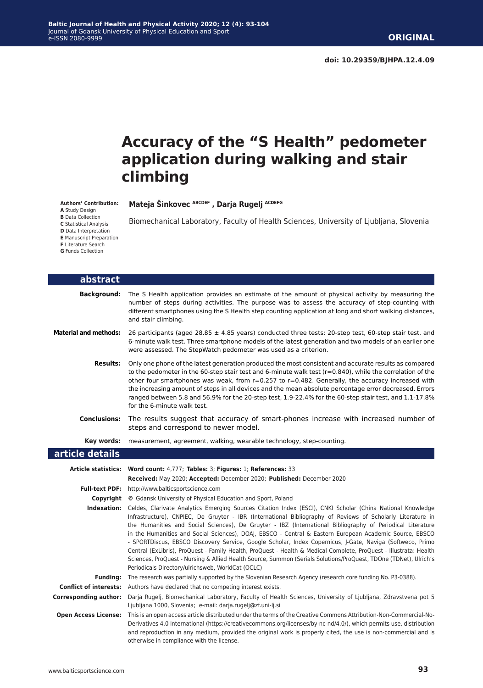# **Accuracy of the "S Health" pedometer application during walking and stair climbing**

Biomechanical Laboratory, Faculty of Health Sciences, University of Ljubljana, Slovenia

**Mateja Šinkovec ABCDEF , Darja Rugelj ACDEFG**

**Authors' Contribution:**

**A** Study Design

**B** Data Collection

**C** Statistical Analysis

**D** Data Interpretation

**E** Manuscript Preparation

**F** Literature Search

**G** Funds Collection

Г

Г

| abstract                      |                                                                                                                                                                                                                                                                                                                                                                                                                                                                                                                                                                                                                                                                                                                                                                                                                                                                           |
|-------------------------------|---------------------------------------------------------------------------------------------------------------------------------------------------------------------------------------------------------------------------------------------------------------------------------------------------------------------------------------------------------------------------------------------------------------------------------------------------------------------------------------------------------------------------------------------------------------------------------------------------------------------------------------------------------------------------------------------------------------------------------------------------------------------------------------------------------------------------------------------------------------------------|
| <b>Background:</b>            | The S Health application provides an estimate of the amount of physical activity by measuring the<br>number of steps during activities. The purpose was to assess the accuracy of step-counting with<br>different smartphones using the S Health step counting application at long and short walking distances,<br>and stair climbing.                                                                                                                                                                                                                                                                                                                                                                                                                                                                                                                                    |
| <b>Material and methods:</b>  | 26 participants (aged 28.85 $\pm$ 4.85 years) conducted three tests: 20-step test, 60-step stair test, and<br>6-minute walk test. Three smartphone models of the latest generation and two models of an earlier one<br>were assessed. The StepWatch pedometer was used as a criterion.                                                                                                                                                                                                                                                                                                                                                                                                                                                                                                                                                                                    |
| <b>Results:</b>               | Only one phone of the latest generation produced the most consistent and accurate results as compared<br>to the pedometer in the 60-step stair test and 6-minute walk test ( $r=0.840$ ), while the correlation of the<br>other four smartphones was weak, from $r=0.257$ to $r=0.482$ . Generally, the accuracy increased with<br>the increasing amount of steps in all devices and the mean absolute percentage error decreased. Errors<br>ranged between 5.8 and 56.9% for the 20-step test, 1.9-22.4% for the 60-step stair test, and 1.1-17.8%<br>for the 6-minute walk test.                                                                                                                                                                                                                                                                                        |
| <b>Conclusions:</b>           | The results suggest that accuracy of smart-phones increase with increased number of<br>steps and correspond to newer model.                                                                                                                                                                                                                                                                                                                                                                                                                                                                                                                                                                                                                                                                                                                                               |
| Key words:                    | measurement, agreement, walking, wearable technology, step-counting.                                                                                                                                                                                                                                                                                                                                                                                                                                                                                                                                                                                                                                                                                                                                                                                                      |
| article details               |                                                                                                                                                                                                                                                                                                                                                                                                                                                                                                                                                                                                                                                                                                                                                                                                                                                                           |
| Article statistics:           | Word count: 4,777; Tables: 3; Figures: 1; References: 33<br>Received: May 2020; Accepted: December 2020; Published: December 2020                                                                                                                                                                                                                                                                                                                                                                                                                                                                                                                                                                                                                                                                                                                                         |
|                               | Full-text PDF: http://www.balticsportscience.com                                                                                                                                                                                                                                                                                                                                                                                                                                                                                                                                                                                                                                                                                                                                                                                                                          |
| Copyright                     | © Gdansk University of Physical Education and Sport, Poland                                                                                                                                                                                                                                                                                                                                                                                                                                                                                                                                                                                                                                                                                                                                                                                                               |
|                               | Indexation: Celdes, Clarivate Analytics Emerging Sources Citation Index (ESCI), CNKI Scholar (China National Knowledge<br>Infrastructure), CNPIEC, De Gruyter - IBR (International Bibliography of Reviews of Scholarly Literature in<br>the Humanities and Social Sciences), De Gruyter - IBZ (International Bibliography of Periodical Literature<br>in the Humanities and Social Sciences), DOAJ, EBSCO - Central & Eastern European Academic Source, EBSCO<br>- SPORTDiscus, EBSCO Discovery Service, Google Scholar, Index Copernicus, J-Gate, Naviga (Softweco, Primo<br>Central (ExLibris), ProQuest - Family Health, ProQuest - Health & Medical Complete, ProQuest - Illustrata: Health<br>Sciences, ProQuest - Nursing & Allied Health Source, Summon (Serials Solutions/ProQuest, TDOne (TDNet), Ulrich's<br>Periodicals Directory/ulrichsweb, WorldCat (OCLC) |
| <b>Funding:</b>               | The research was partially supported by the Slovenian Research Agency (research core funding No. P3-0388).                                                                                                                                                                                                                                                                                                                                                                                                                                                                                                                                                                                                                                                                                                                                                                |
| <b>Conflict of interests:</b> | Authors have declared that no competing interest exists.                                                                                                                                                                                                                                                                                                                                                                                                                                                                                                                                                                                                                                                                                                                                                                                                                  |
| <b>Corresponding author:</b>  | Darja Rugelj, Biomechanical Laboratory, Faculty of Health Sciences, University of Ljubljana, Zdravstvena pot 5<br>Ljubljana 1000, Slovenia; e-mail: darja.rugelj@zf.uni-lj.si                                                                                                                                                                                                                                                                                                                                                                                                                                                                                                                                                                                                                                                                                             |
| <b>Open Access License:</b>   | This is an open access article distributed under the terms of the Creative Commons Attribution-Non-Commercial-No-<br>Derivatives 4.0 International (https://creativecommons.org/licenses/by-nc-nd/4.0/), which permits use, distribution<br>and reproduction in any medium, provided the original work is properly cited, the use is non-commercial and is<br>otherwise in compliance with the license.                                                                                                                                                                                                                                                                                                                                                                                                                                                                   |

www.balticsportscience.com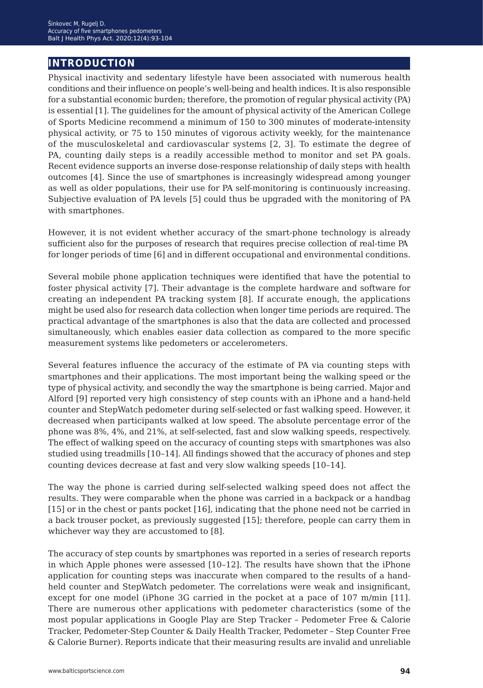## **introduction**

Physical inactivity and sedentary lifestyle have been associated with numerous health conditions and their influence on people's well-being and health indices. It is also responsible for a substantial economic burden; therefore, the promotion of regular physical activity (PA) is essential [1]. The guidelines for the amount of physical activity of the American College of Sports Medicine recommend a minimum of 150 to 300 minutes of moderate-intensity physical activity, or 75 to 150 minutes of vigorous activity weekly, for the maintenance of the musculoskeletal and cardiovascular systems [2, 3]. To estimate the degree of PA, counting daily steps is a readily accessible method to monitor and set PA goals. Recent evidence supports an inverse dose-response relationship of daily steps with health outcomes [4]. Since the use of smartphones is increasingly widespread among younger as well as older populations, their use for PA self-monitoring is continuously increasing. Subjective evaluation of PA levels [5] could thus be upgraded with the monitoring of PA with smartphones.

However, it is not evident whether accuracy of the smart-phone technology is already sufficient also for the purposes of research that requires precise collection of real-time PA for longer periods of time [6] and in different occupational and environmental conditions.

Several mobile phone application techniques were identified that have the potential to foster physical activity [7]. Their advantage is the complete hardware and software for creating an independent PA tracking system [8]. If accurate enough, the applications might be used also for research data collection when longer time periods are required. The practical advantage of the smartphones is also that the data are collected and processed simultaneously, which enables easier data collection as compared to the more specific measurement systems like pedometers or accelerometers.

Several features influence the accuracy of the estimate of PA via counting steps with smartphones and their applications. The most important being the walking speed or the type of physical activity, and secondly the way the smartphone is being carried. Major and Alford [9] reported very high consistency of step counts with an iPhone and a hand-held counter and StepWatch pedometer during self-selected or fast walking speed. However, it decreased when participants walked at low speed. The absolute percentage error of the phone was 8%, 4%, and 21%, at self-selected, fast and slow walking speeds, respectively. The effect of walking speed on the accuracy of counting steps with smartphones was also studied using treadmills [10–14]. All findings showed that the accuracy of phones and step counting devices decrease at fast and very slow walking speeds [10–14].

The way the phone is carried during self-selected walking speed does not affect the results. They were comparable when the phone was carried in a backpack or a handbag [15] or in the chest or pants pocket [16], indicating that the phone need not be carried in a back trouser pocket, as previously suggested [15]; therefore, people can carry them in whichever way they are accustomed to [8].

The accuracy of step counts by smartphones was reported in a series of research reports in which Apple phones were assessed [10–12]. The results have shown that the iPhone application for counting steps was inaccurate when compared to the results of a handheld counter and StepWatch pedometer. The correlations were weak and insignificant, except for one model (iPhone 3G carried in the pocket at a pace of 107 m/min [11]. There are numerous other applications with pedometer characteristics (some of the most popular applications in Google Play are Step Tracker – Pedometer Free & Calorie Tracker, Pedometer-Step Counter & Daily Health Tracker, Pedometer – Step Counter Free & Calorie Burner). Reports indicate that their measuring results are invalid and unreliable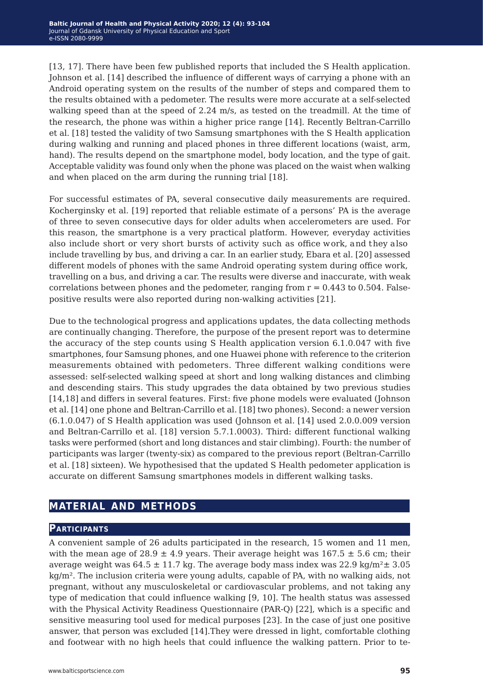[13, 17]. There have been few published reports that included the S Health application. Johnson et al. [14] described the influence of different ways of carrying a phone with an Android operating system on the results of the number of steps and compared them to the results obtained with a pedometer. The results were more accurate at a self-selected walking speed than at the speed of 2.24 m/s, as tested on the treadmill. At the time of the research, the phone was within a higher price range [14]. Recently Beltran-Carrillo et al. [18] tested the validity of two Samsung smartphones with the S Health application during walking and running and placed phones in three different locations (waist, arm, hand). The results depend on the smartphone model, body location, and the type of gait. Acceptable validity was found only when the phone was placed on the waist when walking and when placed on the arm during the running trial [18].

For successful estimates of PA, several consecutive daily measurements are required. Kocherginsky et al. [19] reported that reliable estimate of a persons' PA is the average of three to seven consecutive days for older adults when accelerometers are used. For this reason, the smartphone is a very practical platform. However, everyday activities also include short or very short bursts of activity such as office work, and they also include travelling by bus, and driving a car. In an earlier study, Ebara et al. [20] assessed different models of phones with the same Android operating system during office work, travelling on a bus, and driving a car. The results were diverse and inaccurate, with weak correlations between phones and the pedometer, ranging from  $r = 0.443$  to 0.504. Falsepositive results were also reported during non-walking activities [21].

Due to the technological progress and applications updates, the data collecting methods are continually changing. Therefore, the purpose of the present report was to determine the accuracy of the step counts using S Health application version 6.1.0.047 with five smartphones, four Samsung phones, and one Huawei phone with reference to the criterion measurements obtained with pedometers. Three different walking conditions were assessed: self-selected walking speed at short and long walking distances and climbing and descending stairs. This study upgrades the data obtained by two previous studies [14,18] and differs in several features. First: five phone models were evaluated (Johnson et al. [14] one phone and Beltran-Carrillo et al. [18] two phones). Second: a newer version (6.1.0.047) of S Health application was used (Johnson et al. [14] used 2.0.0.009 version and Beltran-Carrillo et al. [18] version 5.7.1.0003). Third: different functional walking tasks were performed (short and long distances and stair climbing). Fourth: the number of participants was larger (twenty-six) as compared to the previous report (Beltran-Carrillo et al. [18] sixteen). We hypothesised that the updated S Health pedometer application is accurate on different Samsung smartphones models in different walking tasks.

## **material and methods**

#### **Participants**

A convenient sample of 26 adults participated in the research, 15 women and 11 men, with the mean age of 28.9  $\pm$  4.9 years. Their average height was 167.5  $\pm$  5.6 cm; their average weight was 64.5  $\pm$  11.7 kg. The average body mass index was 22.9 kg/m<sup>2</sup> $\pm$  3.05 kg/m². The inclusion criteria were young adults, capable of PA, with no walking aids, not pregnant, without any musculoskeletal or cardiovascular problems, and not taking any type of medication that could influence walking [9, 10]. The health status was assessed with the Physical Activity Readiness Questionnaire (PAR-Q) [22], which is a specific and sensitive measuring tool used for medical purposes [23]. In the case of just one positive answer, that person was excluded [14].They were dressed in light, comfortable clothing and footwear with no high heels that could influence the walking pattern. Prior to te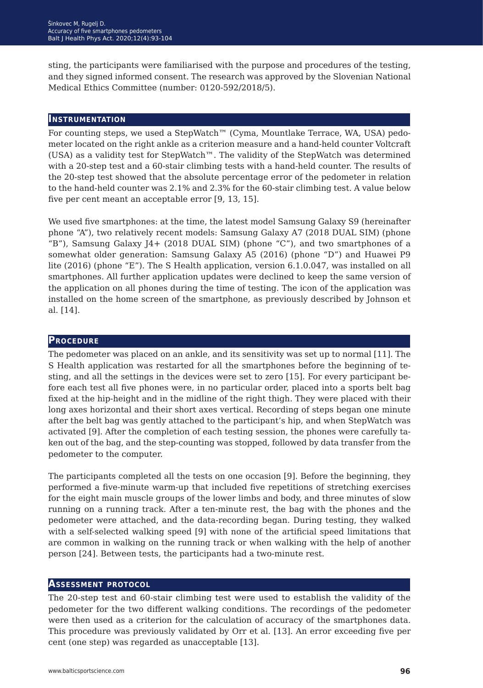sting, the participants were familiarised with the purpose and procedures of the testing, and they signed informed consent. The research was approved by the Slovenian National Medical Ethics Committee (number: 0120-592/2018/5).

#### **Instrumentation**

For counting steps, we used a StepWatch™ (Cyma, Mountlake Terrace, WA, USA) pedometer located on the right ankle as a criterion measure and a hand-held counter Voltcraft (USA) as a validity test for StepWatch™. The validity of the StepWatch was determined with a 20-step test and a 60-stair climbing tests with a hand-held counter. The results of the 20-step test showed that the absolute percentage error of the pedometer in relation to the hand-held counter was 2.1% and 2.3% for the 60-stair climbing test. A value below five per cent meant an acceptable error [9, 13, 15].

We used five smartphones: at the time, the latest model Samsung Galaxy S9 (hereinafter phone "A"), two relatively recent models: Samsung Galaxy A7 (2018 DUAL SIM) (phone "B"), Samsung Galaxy J4+ (2018 DUAL SIM) (phone "C"), and two smartphones of a somewhat older generation: Samsung Galaxy A5 (2016) (phone "D") and Huawei P9 lite (2016) (phone "E"). The S Health application, version 6.1.0.047, was installed on all smartphones. All further application updates were declined to keep the same version of the application on all phones during the time of testing. The icon of the application was installed on the home screen of the smartphone, as previously described by Johnson et al. [14].

#### **Procedure**

The pedometer was placed on an ankle, and its sensitivity was set up to normal [11]. The S Health application was restarted for all the smartphones before the beginning of testing, and all the settings in the devices were set to zero [15]. For every participant before each test all five phones were, in no particular order, placed into a sports belt bag fixed at the hip-height and in the midline of the right thigh. They were placed with their long axes horizontal and their short axes vertical. Recording of steps began one minute after the belt bag was gently attached to the participant's hip, and when StepWatch was activated [9]. After the completion of each testing session, the phones were carefully taken out of the bag, and the step-counting was stopped, followed by data transfer from the pedometer to the computer.

The participants completed all the tests on one occasion [9]. Before the beginning, they performed a five-minute warm-up that included five repetitions of stretching exercises for the eight main muscle groups of the lower limbs and body, and three minutes of slow running on a running track. After a ten-minute rest, the bag with the phones and the pedometer were attached, and the data-recording began. During testing, they walked with a self-selected walking speed [9] with none of the artificial speed limitations that are common in walking on the running track or when walking with the help of another person [24]. Between tests, the participants had a two-minute rest.

#### **Assessment protocol**

The 20-step test and 60-stair climbing test were used to establish the validity of the pedometer for the two different walking conditions. The recordings of the pedometer were then used as a criterion for the calculation of accuracy of the smartphones data. This procedure was previously validated by Orr et al. [13]. An error exceeding five per cent (one step) was regarded as unacceptable [13].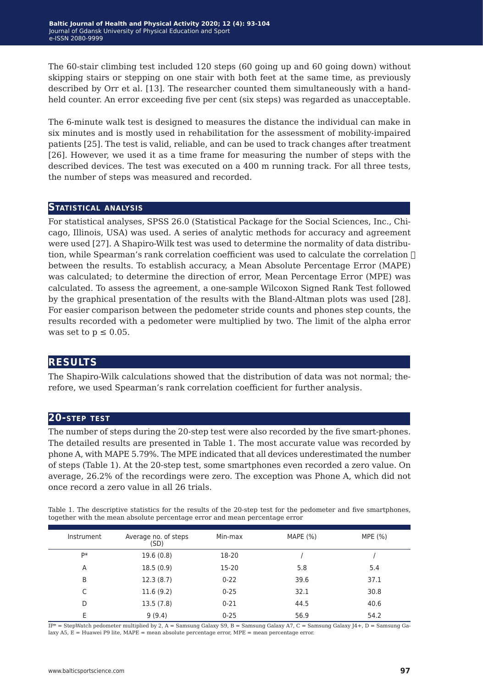The 60-stair climbing test included 120 steps (60 going up and 60 going down) without skipping stairs or stepping on one stair with both feet at the same time, as previously described by Orr et al. [13]. The researcher counted them simultaneously with a handheld counter. An error exceeding five per cent (six steps) was regarded as unacceptable.

The 6-minute walk test is designed to measures the distance the individual can make in six minutes and is mostly used in rehabilitation for the assessment of mobility-impaired patients [25]. The test is valid, reliable, and can be used to track changes after treatment [26]. However, we used it as a time frame for measuring the number of steps with the described devices. The test was executed on a 400 m running track. For all three tests, the number of steps was measured and recorded.

#### **Statistical analysis**

For statistical analyses, SPSS 26.0 (Statistical Package for the Social Sciences, Inc., Chicago, Illinois, USA) was used. A series of analytic methods for accuracy and agreement were used [27]. A Shapiro-Wilk test was used to determine the normality of data distribution, while Spearman's rank correlation coefficient was used to calculate the correlation  $\Box$ between the results. To establish accuracy, a Mean Absolute Percentage Error (MAPE) was calculated; to determine the direction of error, Mean Percentage Error (MPE) was calculated. To assess the agreement, a one-sample Wilcoxon Signed Rank Test followed by the graphical presentation of the results with the Bland-Altman plots was used [28]. For easier comparison between the pedometer stride counts and phones step counts, the results recorded with a pedometer were multiplied by two. The limit of the alpha error was set to  $p \leq 0.05$ .

#### **results**

The Shapiro-Wilk calculations showed that the distribution of data was not normal; therefore, we used Spearman's rank correlation coefficient for further analysis.

#### **20-step test**

The number of steps during the 20-step test were also recorded by the five smart-phones. The detailed results are presented in Table 1. The most accurate value was recorded by phone A, with MAPE 5.79%. The MPE indicated that all devices underestimated the number of steps (Table 1). At the 20-step test, some smartphones even recorded a zero value. On average, 26.2% of the recordings were zero. The exception was Phone A, which did not once record a zero value in all 26 trials.

Table 1. The descriptive statistics for the results of the 20-step test for the pedometer and five smartphones, together with the mean absolute percentage error and mean percentage error

| Instrument | Average no. of steps<br>(SD) | Min-max  | MAPE $(%)$ | MPE (%) |
|------------|------------------------------|----------|------------|---------|
| P*         | 19.6(0.8)                    | 18-20    |            |         |
| A          | 18.5(0.9)                    | 15-20    | 5.8        | 5.4     |
| B          | 12.3(8.7)                    | $0 - 22$ | 39.6       | 37.1    |
| C          | 11.6(9.2)                    | $0 - 25$ | 32.1       | 30.8    |
| D          | 13.5(7.8)                    | $0 - 21$ | 44.5       | 40.6    |
| Е          | 9(9.4)                       | $0 - 25$ | 56.9       | 54.2    |

 $IP*$  = StepWatch pedometer multiplied by 2, A = Samsung Galaxy S9, B = Samsung Galaxy A7, C = Samsung Galaxy J4+, D = Samsung Galaxy A5, E = Huawei P9 lite, MAPE = mean absolute percentage error, MPE = mean percentage error.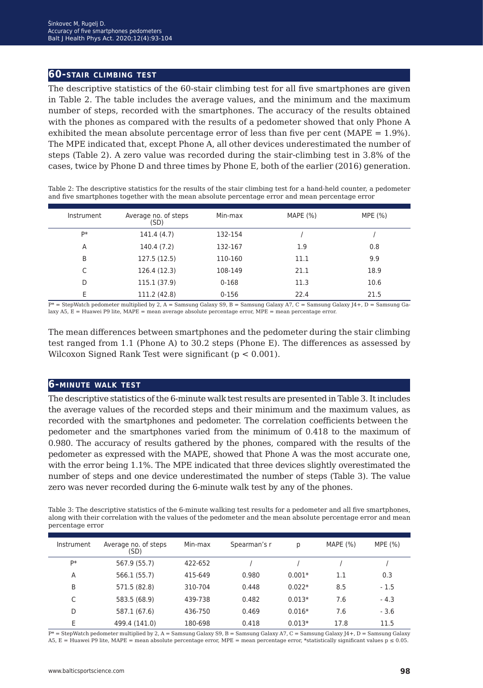#### **60-stair climbing test**

The descriptive statistics of the 60-stair climbing test for all five smartphones are given in Table 2. The table includes the average values, and the minimum and the maximum number of steps, recorded with the smartphones. The accuracy of the results obtained with the phones as compared with the results of a pedometer showed that only Phone A exhibited the mean absolute percentage error of less than five per cent ( $MAPE = 1.9\%$ ). The MPE indicated that, except Phone A, all other devices underestimated the number of steps (Table 2). A zero value was recorded during the stair-climbing test in 3.8% of the cases, twice by Phone D and three times by Phone E, both of the earlier (2016) generation.

| Table 2: The descriptive statistics for the results of the stair climbing test for a hand-held counter, a pedometer |
|---------------------------------------------------------------------------------------------------------------------|
| and five smartphones together with the mean absolute percentage error and mean percentage error                     |

| Instrument | Average no. of steps<br>(SD) | Min-max   | MAPE $(\% )$ | MPE (%) |
|------------|------------------------------|-----------|--------------|---------|
| <b>D</b> * | 141.4 (4.7)                  | 132-154   |              |         |
| A          | 140.4 (7.2)                  | 132-167   | 1.9          | 0.8     |
| B          | 127.5(12.5)                  | 110-160   | 11.1         | 9.9     |
|            | 126.4 (12.3)                 | 108-149   | 21.1         | 18.9    |
| D          | 115.1 (37.9)                 | $0 - 168$ | 11.3         | 10.6    |
| E          | 111.2 (42.8)                 | $0 - 156$ | 22.4         | 21.5    |

 $\overline{P^*}$  = StepWatch pedometer multiplied by 2, A = Samsung Galaxy S9, B = Samsung Galaxy A7, C = Samsung Galaxy J4+, D = Samsung Galaxy A5, E = Huawei P9 lite, MAPE = mean average absolute percentage error, MPE = mean percentage error.

The mean differences between smartphones and the pedometer during the stair climbing test ranged from 1.1 (Phone A) to 30.2 steps (Phone E). The differences as assessed by Wilcoxon Signed Rank Test were significant  $(p < 0.001)$ .

#### **6-minute walk test**

The descriptive statistics of the 6-minute walk test results are presented in Table 3. It includes the average values of the recorded steps and their minimum and the maximum values, as recorded with the smartphones and pedometer. The correlation coefficients between the pedometer and the smartphones varied from the minimum of 0.418 to the maximum of 0.980. The accuracy of results gathered by the phones, compared with the results of the pedometer as expressed with the MAPE, showed that Phone A was the most accurate one, with the error being 1.1%. The MPE indicated that three devices slightly overestimated the number of steps and one device underestimated the number of steps (Table 3). The value zero was never recorded during the 6-minute walk test by any of the phones.

Table 3: The descriptive statistics of the 6-minute walking test results for a pedometer and all five smartphones, along with their correlation with the values of the pedometer and the mean absolute percentage error and mean percentage error

| Instrument | Average no. of steps<br>(SD) | Min-max | Spearman's r | р        | MAPE $(%)$ | MPE $(%)$ |
|------------|------------------------------|---------|--------------|----------|------------|-----------|
| <b>D</b> * | 567.9 (55.7)                 | 422-652 |              |          |            |           |
| A          | 566.1 (55.7)                 | 415-649 | 0.980        | $0.001*$ | 1.1        | 0.3       |
| B          | 571.5 (82.8)                 | 310-704 | 0.448        | $0.022*$ | 8.5        | $-1.5$    |
| C          | 583.5 (68.9)                 | 439-738 | 0.482        | $0.013*$ | 7.6        | $-4.3$    |
| D          | 587.1 (67.6)                 | 436-750 | 0.469        | $0.016*$ | 7.6        | $-3.6$    |
| E          | 499.4 (141.0)                | 180-698 | 0.418        | $0.013*$ | 17.8       | 11.5      |

 $\overline{P^*}$  = StepWatch pedometer multiplied by 2, A = Samsung Galaxy S9, B = Samsung Galaxy A7, C = Samsung Galaxy J4+, D = Samsung Galaxy A5, E = Huawei P9 lite, MAPE = mean absolute percentage error, MPE = mean percentage error, \*statistically significant values  $p \le 0.05$ .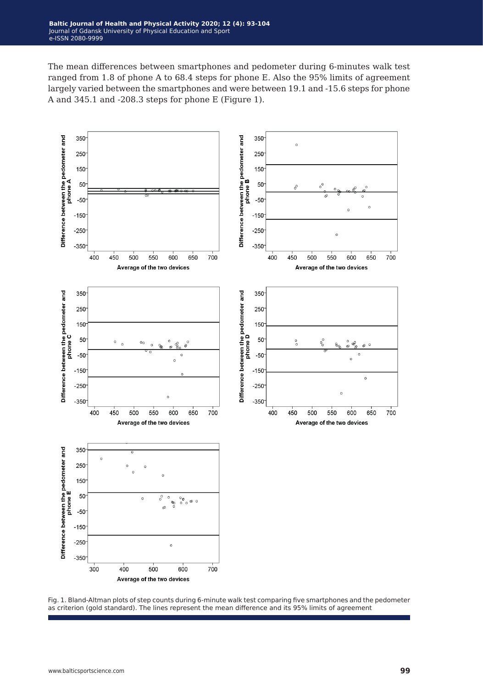The mean differences between smartphones and pedometer during 6-minutes walk test ranged from 1.8 of phone A to 68.4 steps for phone E. Also the 95% limits of agreement largely varied between the smartphones and were between 19.1 and -15.6 steps for phone A and 345.1 and -208.3 steps for phone E (Figure 1).



Fig. 1. Bland-Altman plots of step counts during 6-minute walk test comparing five smartphones and the pedometer as criterion (gold standard). The lines represent the mean difference and its 95% limits of agreement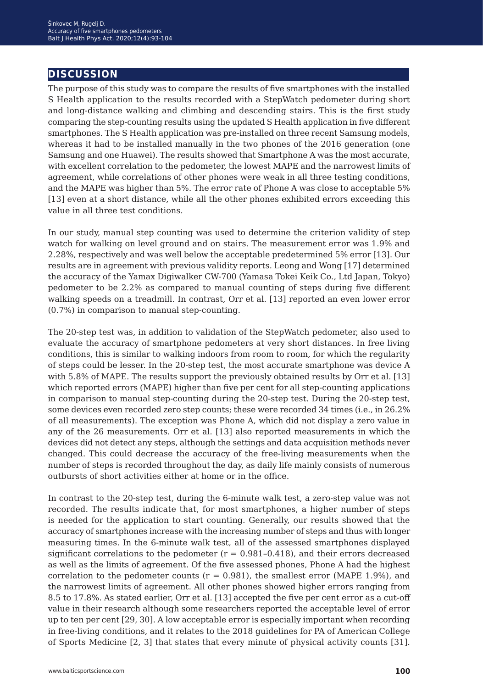## **discussion**

The purpose of this study was to compare the results of five smartphones with the installed S Health application to the results recorded with a StepWatch pedometer during short and long-distance walking and climbing and descending stairs. This is the first study comparing the step-counting results using the updated S Health application in five different smartphones. The S Health application was pre-installed on three recent Samsung models, whereas it had to be installed manually in the two phones of the 2016 generation (one Samsung and one Huawei). The results showed that Smartphone A was the most accurate, with excellent correlation to the pedometer, the lowest MAPE and the narrowest limits of agreement, while correlations of other phones were weak in all three testing conditions, and the MAPE was higher than 5%. The error rate of Phone A was close to acceptable 5% [13] even at a short distance, while all the other phones exhibited errors exceeding this value in all three test conditions.

In our study, manual step counting was used to determine the criterion validity of step watch for walking on level ground and on stairs. The measurement error was 1.9% and 2.28%, respectively and was well below the acceptable predetermined 5% error [13]. Our results are in agreement with previous validity reports. Leong and Wong [17] determined the accuracy of the Yamax Digiwalker CW-700 (Yamasa Tokei Keik Co., Ltd Japan, Tokyo) pedometer to be 2.2% as compared to manual counting of steps during five different walking speeds on a treadmill. In contrast, Orr et al. [13] reported an even lower error (0.7%) in comparison to manual step-counting.

The 20-step test was, in addition to validation of the StepWatch pedometer, also used to evaluate the accuracy of smartphone pedometers at very short distances. In free living conditions, this is similar to walking indoors from room to room, for which the regularity of steps could be lesser. In the 20-step test, the most accurate smartphone was device A with 5.8% of MAPE. The results support the previously obtained results by Orr et al. [13] which reported errors (MAPE) higher than five per cent for all step-counting applications in comparison to manual step-counting during the 20-step test. During the 20-step test, some devices even recorded zero step counts; these were recorded 34 times (i.e., in 26.2% of all measurements). The exception was Phone A, which did not display a zero value in any of the 26 measurements. Orr et al. [13] also reported measurements in which the devices did not detect any steps, although the settings and data acquisition methods never changed. This could decrease the accuracy of the free-living measurements when the number of steps is recorded throughout the day, as daily life mainly consists of numerous outbursts of short activities either at home or in the office.

In contrast to the 20-step test, during the 6-minute walk test, a zero-step value was not recorded. The results indicate that, for most smartphones, a higher number of steps is needed for the application to start counting. Generally, our results showed that the accuracy of smartphones increase with the increasing number of steps and thus with longer measuring times. In the 6-minute walk test, all of the assessed smartphones displayed significant correlations to the pedometer  $(r = 0.981 - 0.418)$ , and their errors decreased as well as the limits of agreement. Of the five assessed phones, Phone A had the highest correlation to the pedometer counts ( $r = 0.981$ ), the smallest error (MAPE 1.9%), and the narrowest limits of agreement. All other phones showed higher errors ranging from 8.5 to 17.8%. As stated earlier, Orr et al. [13] accepted the five per cent error as a cut-off value in their research although some researchers reported the acceptable level of error up to ten per cent [29, 30]. A low acceptable error is especially important when recording in free-living conditions, and it relates to the 2018 guidelines for PA of American College of Sports Medicine [2, 3] that states that every minute of physical activity counts [31].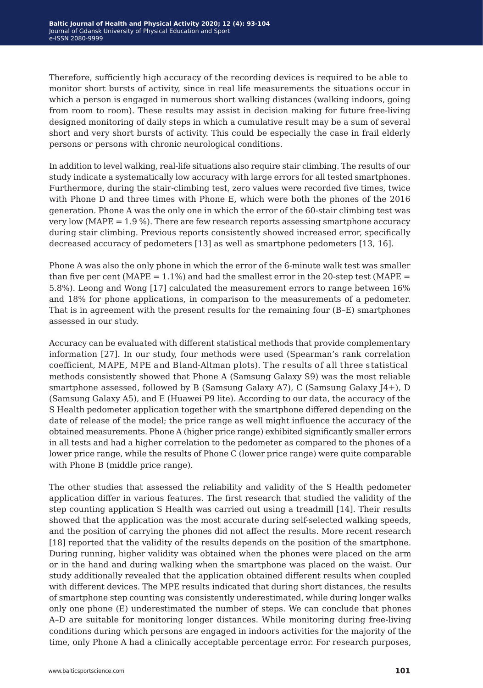Therefore, sufficiently high accuracy of the recording devices is required to be able to monitor short bursts of activity, since in real life measurements the situations occur in which a person is engaged in numerous short walking distances (walking indoors, going from room to room). These results may assist in decision making for future free-living designed monitoring of daily steps in which a cumulative result may be a sum of several short and very short bursts of activity. This could be especially the case in frail elderly persons or persons with chronic neurological conditions.

In addition to level walking, real-life situations also require stair climbing. The results of our study indicate a systematically low accuracy with large errors for all tested smartphones. Furthermore, during the stair-climbing test, zero values were recorded five times, twice with Phone D and three times with Phone E, which were both the phones of the 2016 generation. Phone A was the only one in which the error of the 60-stair climbing test was very low ( $MAPE = 1.9\%$ ). There are few research reports assessing smartphone accuracy during stair climbing. Previous reports consistently showed increased error, specifically decreased accuracy of pedometers [13] as well as smartphone pedometers [13, 16].

Phone A was also the only phone in which the error of the 6-minute walk test was smaller than five per cent (MAPE =  $1.1\%$ ) and had the smallest error in the 20-step test (MAPE = 5.8%). Leong and Wong [17] calculated the measurement errors to range between 16% and 18% for phone applications, in comparison to the measurements of a pedometer. That is in agreement with the present results for the remaining four (B–E) smartphones assessed in our study.

Accuracy can be evaluated with different statistical methods that provide complementary information [27]. In our study, four methods were used (Spearman's rank correlation coefficient, MAPE, MPE and Bland-Altman plots). The results of all three statistical methods consistently showed that Phone A (Samsung Galaxy S9) was the most reliable smartphone assessed, followed by B (Samsung Galaxy A7), C (Samsung Galaxy J4+), D (Samsung Galaxy A5), and E (Huawei P9 lite). According to our data, the accuracy of the S Health pedometer application together with the smartphone differed depending on the date of release of the model; the price range as well might influence the accuracy of the obtained measurements. Phone A (higher price range) exhibited significantly smaller errors in all tests and had a higher correlation to the pedometer as compared to the phones of a lower price range, while the results of Phone C (lower price range) were quite comparable with Phone B (middle price range).

The other studies that assessed the reliability and validity of the S Health pedometer application differ in various features. The first research that studied the validity of the step counting application S Health was carried out using a treadmill [14]. Their results showed that the application was the most accurate during self-selected walking speeds, and the position of carrying the phones did not affect the results. More recent research [18] reported that the validity of the results depends on the position of the smartphone. During running, higher validity was obtained when the phones were placed on the arm or in the hand and during walking when the smartphone was placed on the waist. Our study additionally revealed that the application obtained different results when coupled with different devices. The MPE results indicated that during short distances, the results of smartphone step counting was consistently underestimated, while during longer walks only one phone (E) underestimated the number of steps. We can conclude that phones A–D are suitable for monitoring longer distances. While monitoring during free-living conditions during which persons are engaged in indoors activities for the majority of the time, only Phone A had a clinically acceptable percentage error. For research purposes,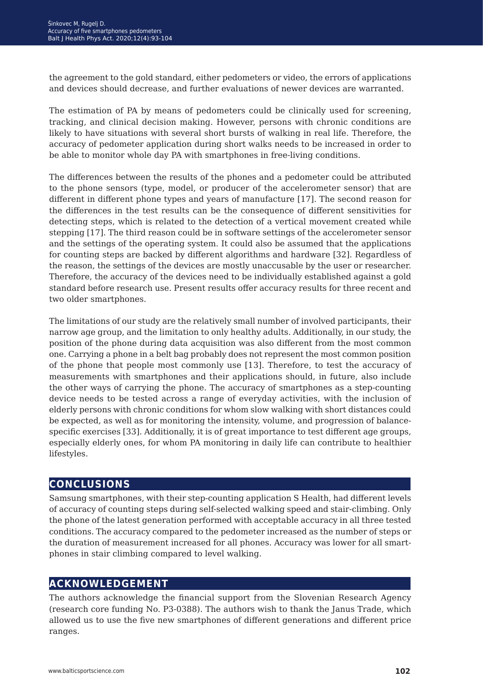the agreement to the gold standard, either pedometers or video, the errors of applications and devices should decrease, and further evaluations of newer devices are warranted.

The estimation of PA by means of pedometers could be clinically used for screening, tracking, and clinical decision making. However, persons with chronic conditions are likely to have situations with several short bursts of walking in real life. Therefore, the accuracy of pedometer application during short walks needs to be increased in order to be able to monitor whole day PA with smartphones in free-living conditions.

The differences between the results of the phones and a pedometer could be attributed to the phone sensors (type, model, or producer of the accelerometer sensor) that are different in different phone types and years of manufacture [17]. The second reason for the differences in the test results can be the consequence of different sensitivities for detecting steps, which is related to the detection of a vertical movement created while stepping [17]. The third reason could be in software settings of the accelerometer sensor and the settings of the operating system. It could also be assumed that the applications for counting steps are backed by different algorithms and hardware [32]. Regardless of the reason, the settings of the devices are mostly unaccusable by the user or researcher. Therefore, the accuracy of the devices need to be individually established against a gold standard before research use. Present results offer accuracy results for three recent and two older smartphones.

The limitations of our study are the relatively small number of involved participants, their narrow age group, and the limitation to only healthy adults. Additionally, in our study, the position of the phone during data acquisition was also different from the most common one. Carrying a phone in a belt bag probably does not represent the most common position of the phone that people most commonly use [13]. Therefore, to test the accuracy of measurements with smartphones and their applications should, in future, also include the other ways of carrying the phone. The accuracy of smartphones as a step-counting device needs to be tested across a range of everyday activities, with the inclusion of elderly persons with chronic conditions for whom slow walking with short distances could be expected, as well as for monitoring the intensity, volume, and progression of balancespecific exercises [33]. Additionally, it is of great importance to test different age groups, especially elderly ones, for whom PA monitoring in daily life can contribute to healthier lifestyles.

## **conclusions**

Samsung smartphones, with their step-counting application S Health, had different levels of accuracy of counting steps during self-selected walking speed and stair-climbing. Only the phone of the latest generation performed with acceptable accuracy in all three tested conditions. The accuracy compared to the pedometer increased as the number of steps or the duration of measurement increased for all phones. Accuracy was lower for all smartphones in stair climbing compared to level walking.

## **acknowledgement**

The authors acknowledge the financial support from the Slovenian Research Agency (research core funding No. P3-0388). The authors wish to thank the Janus Trade, which allowed us to use the five new smartphones of different generations and different price ranges.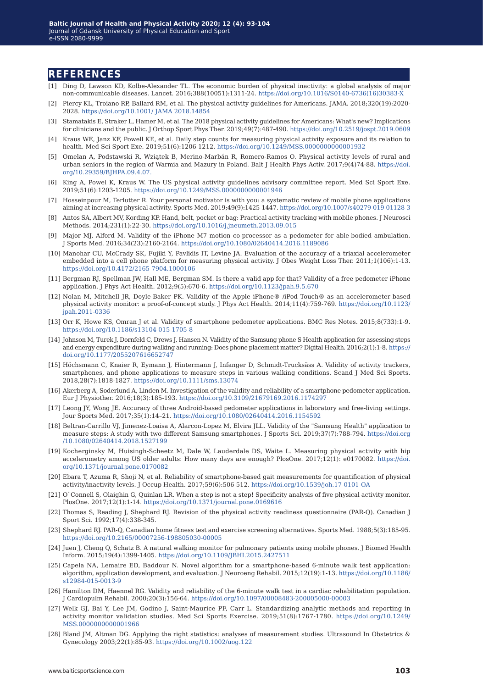#### **references**

- [1] Ding D, Lawson KD, Kolbe-Alexander TL. The economic burden of physical inactivity: a global analysis of major non-communicable diseases. Lancet. 2016;388(10051):1311-24. [https://doi.org/10.1016/S0140-6736\(16\)30383-X](https://doi.org/10.1016/S0140-6736(16)30383-X)
- [2] Piercy KL, Troiano RP, Ballard RM, et al. The physical activity guidelines for Americans. JAMA. 2018;320(19):2020- 2028. <https://doi.org/10.1001/ JAMA 2018.14854>
- [3] Stamatakis E, Straker L, Hamer M, et al. The 2018 physical activity guidelines for Americans: What's new? Implications for clinicians and the public. J Orthop Sport Phys Ther. 2019;49(7):487-490. <https://doi.org/10.2519/jospt.2019.0609>
- [4] Kraus WE, Janz KF, Powell KE, et al. Daily step counts for measuring physical activity exposure and its relation to health. Med Sci Sport Exe. 2019;51(6):1206-1212.<https://doi.org/10.1249/MSS.0000000000001932>
- [5] Omelan A, Podstawski R, Wziątek B, Merino-Marbán R, Romero-Ramos O. Physical activity levels of rural and urban seniors in the region of Warmia and Mazury in Poland. Balt J Health Phys Activ. 2017;9(4)74-88. [https://doi.](https://doi.org/10.29359/BJHPA.09.4.07.) [org/10.29359/BJHPA.09.4.07.](https://doi.org/10.29359/BJHPA.09.4.07.)
- [6] King A, Powel K, Kraus W. The US physical activity guidelines advisory committee report. Med Sci Sport Exe. 2019;51(6):1203-1205.<https://doi.org/10.1249/MSS.0000000000001946>
- [7] Hosseinpour M, Terlutter R. Your personal motivator is with you: a systematic review of mobile phone applications aiming at increasing physical activity. Sports Med. 2019;49(9):1425-1447. [https://doi.org/10.1007/s40279-019-01128-3](https://doi.org/10.1007/s40279-019-01128-3 )
- [8] Antos SA, Albert MV, Kording KP. Hand, belt, pocket or bag: Practical activity tracking with mobile phones. J Neurosci Methods. 2014;231(1):22-30. <https://doi.org/10.1016/j.jneumeth.2013.09.015>
- [9] Major MJ, Alford M. Validity of the iPhone M7 motion co-processor as a pedometer for able-bodied ambulation. J Sports Med. 2016;34(23):2160-2164. <https://doi.org/10.1080/02640414.2016.1189086>
- [10] Manohar CU, McCrady SK, Fujiki Y, Pavlidis IT, Levine JA. Evaluation of the accuracy of a triaxial accelerometer embedded into a cell phone platform for measuring physical activity. J Obes Weight Loss Ther. 2011;1(106):1-13. <https://doi.org/10.4172/2165-7904.1000106>
- [11] Bergman RJ, Spellman JW, Hall ME, Bergman SM. Is there a valid app for that? Validity of a free pedometer iPhone application. J Phys Act Health. 2012;9(5):670-6. <https://doi.org/10.1123/jpah.9.5.670>
- [12] Nolan M, Mitchell JR, Doyle-Baker PK. Validity of the Apple iPhone® /iPod Touch® as an accelerometer-based physical activity monitor: a proof-of-concept study. J Phys Act Health. 2014;11(4):759-769. [https://doi.org/10.1123/](https://doi.org/10.1123/jpah.2011-0336 ) [jpah.2011-0336](https://doi.org/10.1123/jpah.2011-0336 )
- [13] Orr K, Howe KS, Omran J et al. Validity of smartphone pedometer applications. BMC Res Notes. 2015;8(733):1-9. <https://doi.org/10.1186/s13104-015-1705-8>
- [14] Johnson M, Turek J, Dornfeld C, Drews J, Hansen N. Validity of the Samsung phone S Health application for assessing steps and energy expenditure during walking and running: Does phone placement matter? Digital Health. 2016;2(1):1-8. [https://]( https://doi.org/10.1177/2055207616652747) [doi.org/10.1177/2055207616652747]( https://doi.org/10.1177/2055207616652747)
- [15] Höchsmann C, Knaier R, Eymann J, Hintermann J, Infanger D, Schmidt-Trucksäss A. Validity of activity trackers, smartphones, and phone applications to measure steps in various walking conditions. Scand J Med Sci Sports. 2018,28(7):1818-1827.<https://doi.org/10.1111/sms.13074>
- [16] Akerberg A, Soderlund A, Linden M. Investigation of the validity and reliability of a smartphone pedometer application. Eur J Physiother. 2016;18(3):185-193. <https://doi.org/10.3109/21679169.2016.1174297>
- [17] Leong JY, Wong JE. Accuracy of three Android-based pedometer applications in laboratory and free-living settings. Jour Sports Med. 2017;35(1):14–21. <https://doi.org/10.1080/02640414.2016.1154592>
- [18] Beltran-Carrillo VJ, Jimenez-Loaisa A, Alarcon-Lopez M, Elvira JLL. Validity of the "Samsung Health" application to measure steps: A study with two different Samsung smartphones. J Sports Sci. 2019;37(7):788-794. [https://doi.org](https://doi.org/10.1080/02640414.2018.1527199 ) [/10.1080/02640414.2018.1527199](https://doi.org/10.1080/02640414.2018.1527199 )
- [19] Kocherginsky M, Huisingh-Scheetz M, Dale W, Lauderdale DS, Waite L. Measuring physical activity with hip accelerometry among US older adults: How many days are enough? PlosOne. 2017;12(1): e0170082. [https://doi.](https://doi.org/10.1371/journal.pone.0170082) [org/10.1371/journal.pone.0170082](https://doi.org/10.1371/journal.pone.0170082)
- [20] Ebara T, Azuma R, Shoji N, et al. Reliability of smartphone-based gait measurements for quantification of physical activity/inactivity levels. J Occup Health. 2017;59(6):506-512.<https://doi.org/10.1539/joh.17-0101-OA>
- [21] O`Connell S, Olaighin G, Quinlan LR. When a step is not a step! Specificity analysis of five physical activity monitor. PlosOne. 2017;12(1):1-14. <https://doi.org/10.1371/journal.pone.0169616>
- [22] Thomas S, Reading J, Shephard RJ. Revision of the physical activity readiness questionnaire (PAR-Q). Canadian J Sport Sci. 1992;17(4):338-345.
- [23] Shephard RJ. PAR-Q, Canadian home fitness test and exercise screening alternatives. Sports Med. 1988;5(3):185-95. <https://doi.org/10.2165/00007256-198805030-00005>
- [24] Juen J, Cheng Q, Schatz B. A natural walking monitor for pulmonary patients using mobile phones. J Biomed Health Inform. 2015;19(4):1399-1405.<https://doi.org/10.1109/JBHI.2015.2427511>
- [25] Capela NA, Lemaire ED, Baddour N. Novel algorithm for a smartphone-based 6-minute walk test application: algorithm, application development, and evaluation. J Neuroeng Rehabil. 2015;12(19):1-13. [https://doi.org/10.1186/](https://doi.org/10.1186/s12984-015-0013-9 ) [s12984-015-0013-9](https://doi.org/10.1186/s12984-015-0013-9 )
- [26] Hamilton DM, Haennel RG. Validity and reliability of the 6-minute walk test in a cardiac rehabilitation population. J Cardiopulm Rehabil. 2000;20(3):156-64. <https://doi.org/10.1097/00008483-200005000-00003>
- [27] Welk GJ, Bai Y, Lee JM, Godino J, Saint-Maurice PF, Carr L. Standardizing analytic methods and reporting in activity monitor validation studies. Med Sci Sports Exercise. 2019;51(8):1767-1780. [https://doi.org/10.1249/](https://doi.org/10.1249/MSS.0000000000001966 ) [MSS.0000000000001966](https://doi.org/10.1249/MSS.0000000000001966 )
- [28] Bland JM, Altman DG. Applying the right statistics: analyses of measurement studies. Ultrasound In Obstetrics & Gynecology 2003;22(1):85-93.<https://doi.org/10.1002/uog.122>